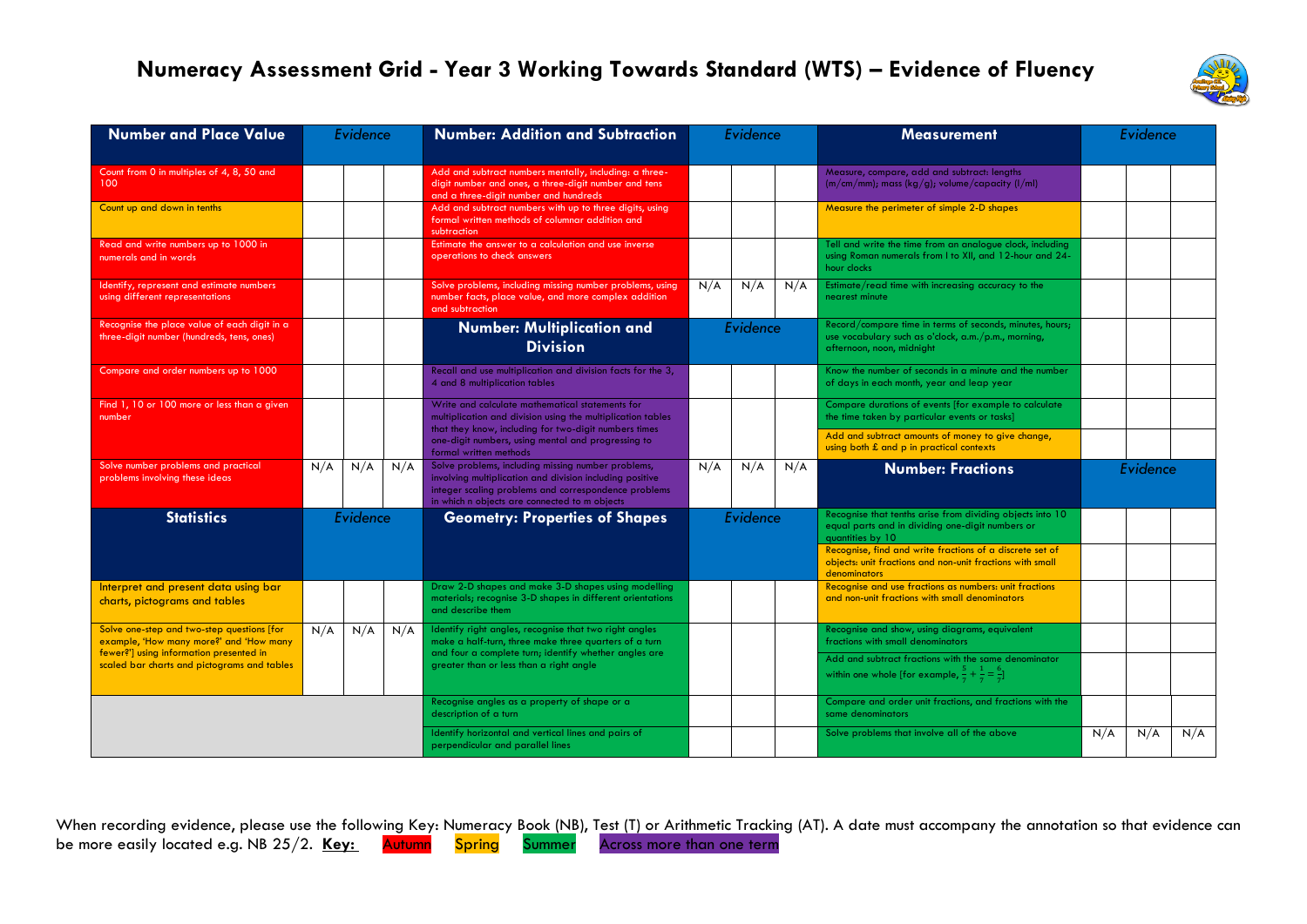## **Numeracy Assessment Grid - Year 3 Working Towards Standard (WTS) – Evidence of Fluency**



| <b>Number and Place Value</b>                                                                                                                                                   | Evidence |     |     | <b>Number: Addition and Subtraction</b>                                                                                                                                                                                 |          | Evidence |     | <b>Measurement</b>                                                                                                                           |          | Evidence |     |  |
|---------------------------------------------------------------------------------------------------------------------------------------------------------------------------------|----------|-----|-----|-------------------------------------------------------------------------------------------------------------------------------------------------------------------------------------------------------------------------|----------|----------|-----|----------------------------------------------------------------------------------------------------------------------------------------------|----------|----------|-----|--|
| Count from 0 in multiples of 4, 8, 50 and<br>100                                                                                                                                |          |     |     | Add and subtract numbers mentally, including: a three-<br>digit number and ones, a three-digit number and tens<br>and a three-digit number and hundreds                                                                 |          |          |     | Measure, compare, add and subtract: lengths<br>$(m/cm/mm)$ ; mass (kg/g); volume/capacity (l/ml)                                             |          |          |     |  |
| Count up and down in tenths                                                                                                                                                     |          |     |     | Add and subtract numbers with up to three digits, using<br>formal written methods of columnar addition and<br>subtraction                                                                                               |          |          |     | Measure the perimeter of simple 2-D shapes                                                                                                   |          |          |     |  |
| Read and write numbers up to 1000 in<br>numerals and in words                                                                                                                   |          |     |     | Estimate the answer to a calculation and use inverse<br>operations to check answers                                                                                                                                     |          |          |     | Tell and write the time from an analogue clock, including<br>using Roman numerals from I to XII, and 12-hour and 24-<br>hour clocks          |          |          |     |  |
| Identify, represent and estimate numbers<br>using different representations                                                                                                     |          |     |     | Solve problems, including missing number problems, using<br>number facts, place value, and more complex addition<br>and subtraction                                                                                     | N/A      | N/A      | N/A | Estimate/read time with increasing accuracy to the<br>nearest minute                                                                         |          |          |     |  |
| Recognise the place value of each digit in a<br>three-digit number (hundreds, tens, ones)                                                                                       |          |     |     | <b>Number: Multiplication and</b><br><b>Division</b>                                                                                                                                                                    |          | Evidence |     | Record/compare time in terms of seconds, minutes, hours;<br>use vocabulary such as o'clock, a.m./p.m., morning,<br>afternoon, noon, midnight |          |          |     |  |
| Compare and order numbers up to 1000                                                                                                                                            |          |     |     | Recall and use multiplication and division facts for the 3,<br>4 and 8 multiplication tables                                                                                                                            |          |          |     | Know the number of seconds in a minute and the number<br>of days in each month, year and leap year                                           |          |          |     |  |
| Find 1, 10 or 100 more or less than a given<br>number                                                                                                                           |          |     |     | Write and calculate mathematical statements for<br>multiplication and division using the multiplication tables                                                                                                          |          |          |     | Compare durations of events [for example to calculate<br>the time taken by particular events or tasks]                                       |          |          |     |  |
|                                                                                                                                                                                 |          |     |     | that they know, including for two-digit numbers times<br>one-digit numbers, using mental and progressing to<br>formal written methods                                                                                   |          |          |     | Add and subtract amounts of money to give change,<br>using both £ and p in practical contexts                                                |          |          |     |  |
| Solve number problems and practical<br>problems involving these ideas                                                                                                           | N/A      | N/A | N/A | Solve problems, including missing number problems,<br>involving multiplication and division including positive<br>integer scaling problems and correspondence problems<br>in which n objects are connected to m objects | N/A      | N/A      | N/A | <b>Number: Fractions</b>                                                                                                                     | Evidence |          |     |  |
| <b>Statistics</b>                                                                                                                                                               | Evidence |     |     | <b>Geometry: Properties of Shapes</b>                                                                                                                                                                                   | Evidence |          |     | Recognise that tenths arise from dividing objects into 10<br>equal parts and in dividing one-digit numbers or<br>quantities by 10            |          |          |     |  |
|                                                                                                                                                                                 |          |     |     |                                                                                                                                                                                                                         |          |          |     | Recognise, find and write fractions of a discrete set of<br>objects: unit fractions and non-unit fractions with small<br>denominators        |          |          |     |  |
| Interpret and present data using bar<br>charts, pictograms and tables                                                                                                           |          |     |     | Draw 2-D shapes and make 3-D shapes using modelling<br>materials; recognise 3-D shapes in different orientations<br>and describe them                                                                                   |          |          |     | Recognise and use fractions as numbers: unit fractions<br>and non-unit fractions with small denominators                                     |          |          |     |  |
| Solve one-step and two-step questions [for<br>example, 'How many more?' and 'How many<br>fewer?'] using information presented in<br>scaled bar charts and pictograms and tables | N/A      | N/A | N/A | Identify right angles, recognise that two right angles<br>make a half-turn, three make three quarters of a turn<br>and four a complete turn; identify whether angles are                                                |          |          |     | Recognise and show, using diagrams, equivalent<br>fractions with small denominators                                                          |          |          |     |  |
|                                                                                                                                                                                 |          |     |     | greater than or less than a right angle                                                                                                                                                                                 |          |          |     | Add and subtract fractions with the same denominator<br>within one whole [for example, $\frac{5}{7} + \frac{1}{7} = \frac{6}{7}$ ]           |          |          |     |  |
|                                                                                                                                                                                 |          |     |     | Recognise angles as a property of shape or a<br>description of a turn                                                                                                                                                   |          |          |     | Compare and order unit fractions, and fractions with the<br>same denominators                                                                |          |          |     |  |
|                                                                                                                                                                                 |          |     |     | Identify horizontal and vertical lines and pairs of<br>perpendicular and parallel lines                                                                                                                                 |          |          |     | Solve problems that involve all of the above                                                                                                 | N/A      | N/A      | N/A |  |

When recording evidence, please use the following Key: Numeracy Book (NB), Test (T) or Arithmetic Tracking (AT). A date must accompany the annotation so that evidence can be more easily located e.g. NB 25/2. Key: Autumn Spring Summer Across more than one term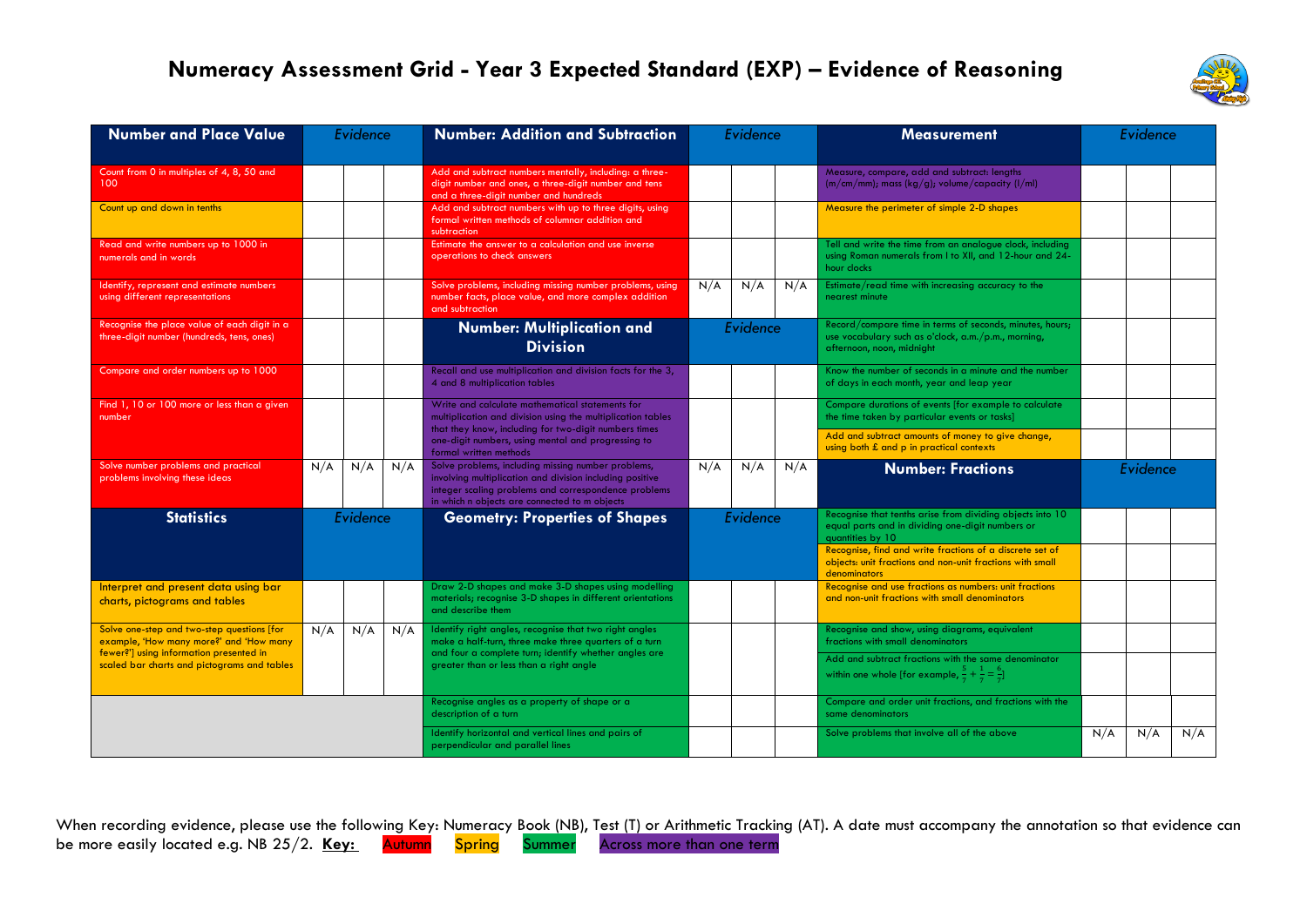## **Numeracy Assessment Grid - Year 3 Expected Standard (EXP) – Evidence of Reasoning**



| <b>Number and Place Value</b>                                                                                                    | Evidence |     |     | <b>Number: Addition and Subtraction</b>                                                                                                                                                                                 | Evidence |     |     | <b>Measurement</b>                                                                                                                           |     | Evidence |     |
|----------------------------------------------------------------------------------------------------------------------------------|----------|-----|-----|-------------------------------------------------------------------------------------------------------------------------------------------------------------------------------------------------------------------------|----------|-----|-----|----------------------------------------------------------------------------------------------------------------------------------------------|-----|----------|-----|
|                                                                                                                                  |          |     |     |                                                                                                                                                                                                                         |          |     |     |                                                                                                                                              |     |          |     |
| Count from 0 in multiples of 4, 8, 50 and<br>100                                                                                 |          |     |     | Add and subtract numbers mentally, including: a three-<br>digit number and ones, a three-digit number and tens<br>and a three-digit number and hundreds                                                                 |          |     |     | Measure, compare, add and subtract: lengths<br>$(m/cm/mm)$ ; mass (kg/g); volume/capacity (l/ml)                                             |     |          |     |
| Count up and down in tenths                                                                                                      |          |     |     | Add and subtract numbers with up to three digits, using<br>formal written methods of columnar addition and<br>subtraction                                                                                               |          |     |     | Measure the perimeter of simple 2-D shapes                                                                                                   |     |          |     |
| Read and write numbers up to 1000 in<br>numerals and in words                                                                    |          |     |     | Estimate the answer to a calculation and use inverse<br>operations to check answers                                                                                                                                     |          |     |     | Tell and write the time from an analogue clock, including<br>using Roman numerals from I to XII, and 12-hour and 24-<br>hour clocks          |     |          |     |
| Identify, represent and estimate numbers<br>using different representations                                                      |          |     |     | Solve problems, including missing number problems, using<br>number facts, place value, and more complex addition<br>and subtraction                                                                                     | N/A      | N/A | N/A | Estimate/read time with increasing accuracy to the<br>nearest minute                                                                         |     |          |     |
| Recognise the place value of each digit in a<br>three-digit number (hundreds, tens, ones)                                        |          |     |     | <b>Number: Multiplication and</b><br><b>Division</b>                                                                                                                                                                    | Evidence |     |     | Record/compare time in terms of seconds, minutes, hours;<br>use vocabulary such as o'clock, a.m./p.m., morning,<br>afternoon, noon, midnight |     |          |     |
| Compare and order numbers up to 1000                                                                                             |          |     |     | Recall and use multiplication and division facts for the 3,<br>4 and 8 multiplication tables                                                                                                                            |          |     |     | Know the number of seconds in a minute and the number<br>of days in each month, year and leap year                                           |     |          |     |
| Find 1, 10 or 100 more or less than a given<br>number                                                                            |          |     |     | Write and calculate mathematical statements for<br>multiplication and division using the multiplication tables<br>that they know, including for two-digit numbers times                                                 |          |     |     | Compare durations of events [for example to calculate<br>the time taken by particular events or tasks]                                       |     |          |     |
|                                                                                                                                  |          |     |     | one-digit numbers, using mental and progressing to<br>formal written methods                                                                                                                                            |          |     |     | Add and subtract amounts of money to give change,<br>using both £ and p in practical contexts                                                |     |          |     |
| Solve number problems and practical<br>problems involving these ideas                                                            | N/A      | N/A | N/A | Solve problems, including missing number problems,<br>involving multiplication and division including positive<br>integer scaling problems and correspondence problems<br>in which n objects are connected to m objects | N/A      | N/A | N/A | <b>Number: Fractions</b>                                                                                                                     |     | Evidence |     |
| <b>Statistics</b>                                                                                                                | Evidence |     |     | <b>Geometry: Properties of Shapes</b>                                                                                                                                                                                   | Evidence |     |     | Recognise that tenths arise from dividing objects into 10<br>equal parts and in dividing one-digit numbers or<br>quantities by 10            |     |          |     |
|                                                                                                                                  |          |     |     |                                                                                                                                                                                                                         |          |     |     | Recognise, find and write fractions of a discrete set of<br>objects: unit fractions and non-unit fractions with small<br>denominators        |     |          |     |
| Interpret and present data using bar<br>charts, pictograms and tables                                                            |          |     |     | Draw 2-D shapes and make 3-D shapes using modelling<br>materials; recognise 3-D shapes in different orientations<br>and describe them                                                                                   |          |     |     | Recognise and use fractions as numbers: unit fractions<br>and non-unit fractions with small denominators                                     |     |          |     |
| Solve one-step and two-step questions [for<br>example, 'How many more?' and 'How many<br>fewer?'] using information presented in | N/A      | N/A | N/A | Identify right angles, recognise that two right angles<br>make a half-turn, three make three quarters of a turn<br>and four a complete turn; identify whether angles are                                                |          |     |     | Recognise and show, using diagrams, equivalent<br>fractions with small denominators                                                          |     |          |     |
| scaled bar charts and pictograms and tables                                                                                      |          |     |     | greater than or less than a right angle                                                                                                                                                                                 |          |     |     | Add and subtract fractions with the same denominator<br>within one whole [for example, $\frac{5}{7} + \frac{1}{7} = \frac{6}{7}$ ]           |     |          |     |
|                                                                                                                                  |          |     |     | Recognise angles as a property of shape or a<br>description of a turn                                                                                                                                                   |          |     |     | Compare and order unit fractions, and fractions with the<br>same denominators                                                                |     |          |     |
|                                                                                                                                  |          |     |     | Identify horizontal and vertical lines and pairs of<br>perpendicular and parallel lines                                                                                                                                 |          |     |     | Solve problems that involve all of the above                                                                                                 | N/A | N/A      | N/A |

When recording evidence, please use the following Key: Numeracy Book (NB), Test (T) or Arithmetic Tracking (AT). A date must accompany the annotation so that evidence can be more easily located e.g. NB 25/2. Key: Autumn Spring Summer Across more than one term